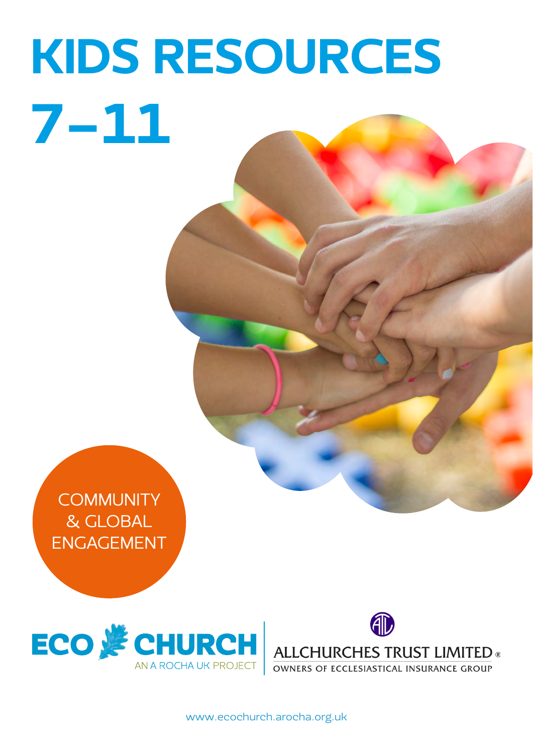# KIDS RESOURCES 7-11

**COMMUNITY** & GLOBAL ENGAGEMENT





OWNERS OF ECCLESIASTICAL INSURANCE GROUP

[www.ecochurch.arocha.org.uk](http://ecochurch.arocha.org.uk)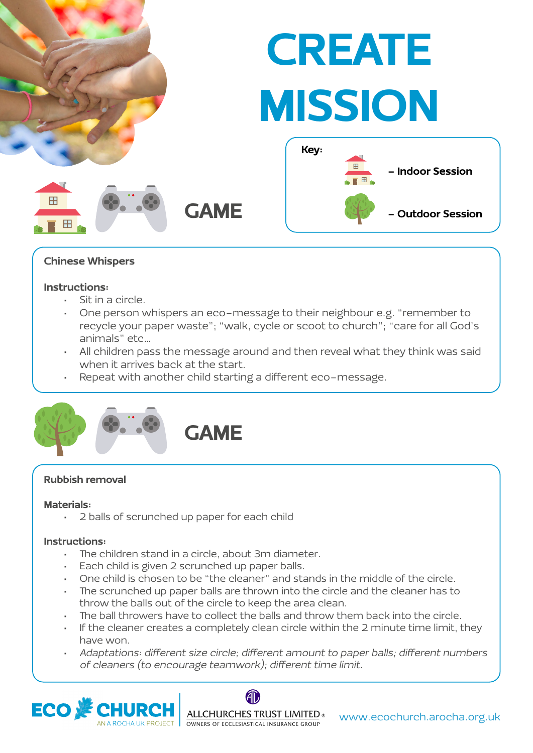

#### Chinese Whispers

#### Instructions:

- Sit in a circle.
- One person whispers an eco-message to their neighbour e.g. "remember to recycle your paper waste"; "walk, cycle or scoot to church"; "care for all God's animals" etc…
- All children pass the message around and then reveal what they think was said when it arrives back at the start.
- Repeat with another child starting a different eco-message.



#### Rubbish removal

#### Materials:

• 2 balls of scrunched up paper for each child

- The children stand in a circle, about 3m diameter.
- Each child is given 2 scrunched up paper balls.
- One child is chosen to be "the cleaner" and stands in the middle of the circle.
- The scrunched up paper balls are thrown into the circle and the cleaner has to throw the balls out of the circle to keep the area clean.
- The ball throwers have to collect the balls and throw them back into the circle.
- If the cleaner creates a completely clean circle within the 2 minute time limit, they have won.
- Adaptations: different size circle; different amount to paper balls; different numbers of cleaners (to encourage teamwork); different time limit.



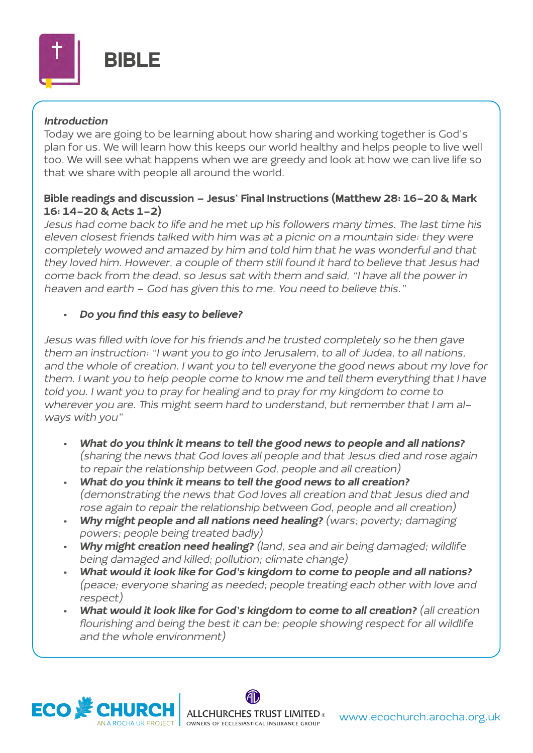

#### Introduction

Today we are going to be learning about how sharing and working together is God's plan for us. We will learn how this keeps our world healthy and helps people to live well too. We will see what happens when we are greedy and look at how we can live life so that we share with people all around the world.

#### Bible readings and discussion – Jesus' Final Instructions (Matthew 28: 16-20 & Mark 16: 14-20 & Acts 1-2)

Jesus had come back to life and he met up his followers many times. The last time his eleven closest friends talked with him was at a picnic on a mountain side: they were completely wowed and amazed by him and told him that he was wonderful and that they loved him. However, a couple of them still found it hard to believe that Jesus had come back from the dead, so Jesus sat with them and said, "I have all the power in heaven and earth – God has given this to me. You need to believe this."

#### • Do you find this easy to believe?

Jesus was filled with love for his friends and he trusted completely so he then gave them an instruction: "I want you to go into Jerusalem, to all of Judea, to all nations, and the whole of creation. I want you to tell everyone the good news about my love for them. I want you to help people come to know me and tell them everything that I have told you. I want you to pray for healing and to pray for my kingdom to come to wherever you are. This might seem hard to understand, but remember that I am always with you"

- What do you think it means to tell the good news to people and all nations? (sharing the news that God loves all people and that Jesus died and rose again to repair the relationship between God, people and all creation)
- What do you think it means to tell the good news to all creation? (demonstrating the news that God loves all creation and that Jesus died and rose again to repair the relationship between God, people and all creation)
- Why might people and all nations need healing? (wars; poverty; damaging powers; people being treated badly)
- Why might creation need healing? (land, sea and air being damaged; wildlife being damaged and killed; pollution; climate change)
- What would it look like for God's kingdom to come to people and all nations? (peace; everyone sharing as needed; people treating each other with love and respect)
- What would it look like for God's kingdom to come to all creation? (all creation flourishing and being the best it can be; people showing respect for all wildlife and the whole environment)

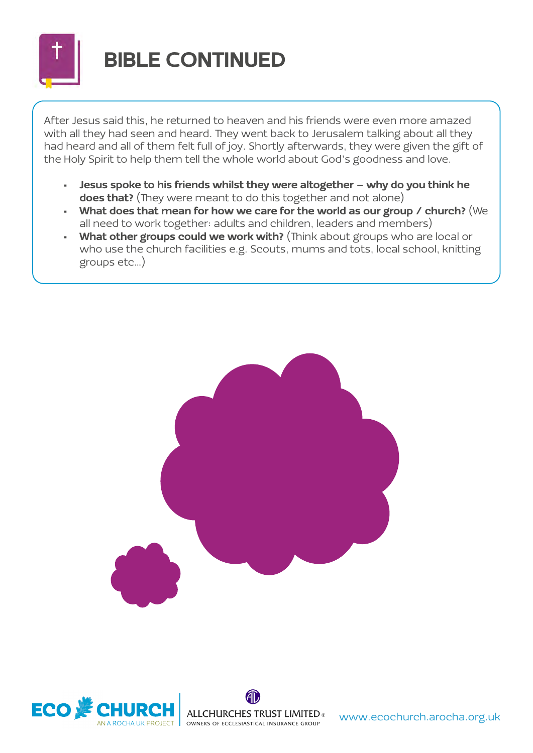

### BIBLE CONTINUED

After Jesus said this, he returned to heaven and his friends were even more amazed with all they had seen and heard. They went back to Jerusalem talking about all they had heard and all of them felt full of joy. Shortly afterwards, they were given the gift of the Holy Spirit to help them tell the whole world about God's goodness and love.

- Jesus spoke to his friends whilst they were altogether why do you think he does that? (They were meant to do this together and not alone)
- What does that mean for how we care for the world as our group / church? (We all need to work together: adults and children, leaders and members)
- What other groups could we work with? (Think about groups who are local or who use the church facilities e.g. Scouts, mums and tots, local school, knitting groups etc…)





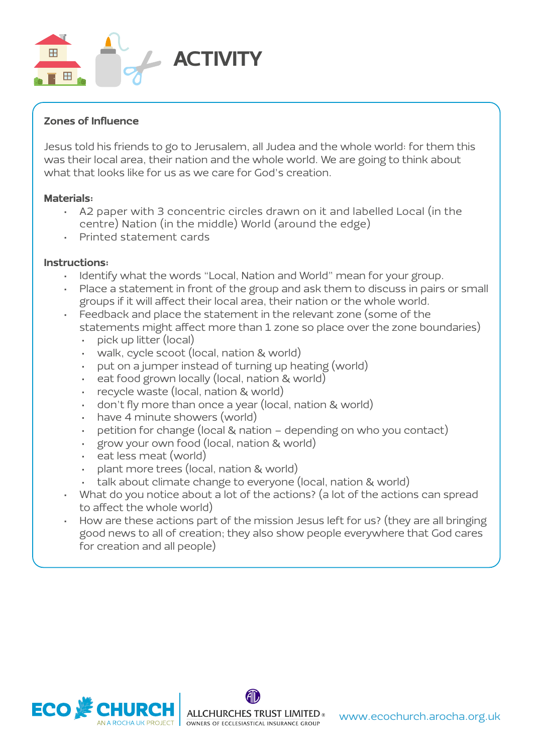

#### Zones of Influence

Jesus told his friends to go to Jerusalem, all Judea and the whole world: for them this was their local area, their nation and the whole world. We are going to think about what that looks like for us as we care for God's creation.

#### Materials:

- A2 paper with 3 concentric circles drawn on it and labelled Local (in the centre) Nation (in the middle) World (around the edge)
- Printed statement cards

- Identify what the words "Local, Nation and World" mean for your group.
- Place a statement in front of the group and ask them to discuss in pairs or small groups if it will affect their local area, their nation or the whole world.
- Feedback and place the statement in the relevant zone (some of the statements might affect more than 1 zone so place over the zone boundaries)
	- pick up litter (local)
	- walk, cycle scoot (local, nation & world)
	- put on a jumper instead of turning up heating (world)
	- eat food grown locally (local, nation & world)
	- recycle waste (local, nation & world)
	- don't fly more than once a year (local, nation & world)
	- have 4 minute showers (world)
	- petition for change (local & nation depending on who you contact)
	- grow your own food (local, nation & world)
	- eat less meat (world)
	- plant more trees (local, nation & world)
	- talk about climate change to everyone (local, nation & world)
- What do you notice about a lot of the actions? (a lot of the actions can spread to affect the whole world)
- How are these actions part of the mission Jesus left for us? (they are all bringing good news to all of creation; they also show people everywhere that God cares for creation and all people)

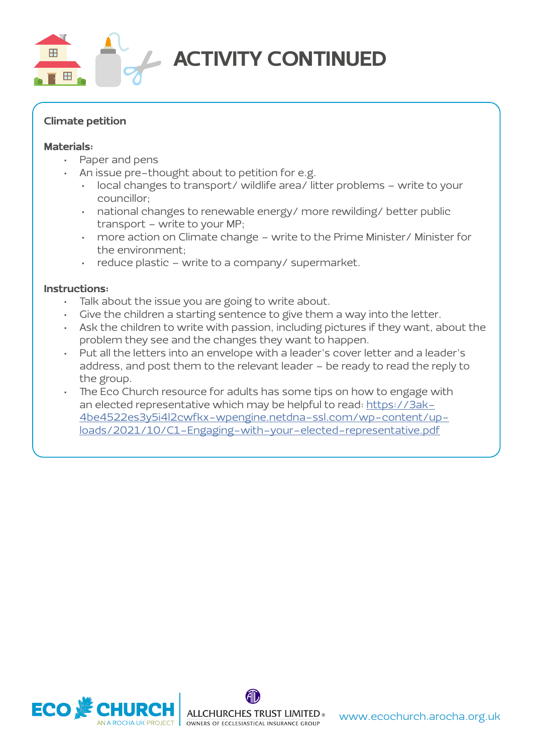

### ACTIVITY CONTINUED

#### Climate petition

#### Materials:

- Paper and pens
- An issue pre-thought about to petition for e.g.
	- local changes to transport/ wildlife area/ litter problems write to your councillor;
	- national changes to renewable energy/ more rewilding/ better public transport – write to your MP;
	- more action on Climate change write to the Prime Minister/ Minister for the environment;
	- reduce plastic write to a company/ supermarket.

- Talk about the issue you are going to write about.
- Give the children a starting sentence to give them a way into the letter.
- Ask the children to write with passion, including pictures if they want, about the problem they see and the changes they want to happen.
- Put all the letters into an envelope with a leader's cover letter and a leader's address, and post them to the relevant leader – be ready to read the reply to the group.
- The Eco Church resource for adults has some tips on how to engage with an elected representative which may be helpful to read: [https://3ak-](https://3ak4be4522es3y5i4l2cwfkx-wpengine.netdna-ssl.com/wp-content/uploads/2021/10/C1-Engaging-with-your-elected-representative.pdf)[4be4522es3y5i4l2cwfkx-wpengine.netdna-ssl.com/wp-content/up](https://3ak4be4522es3y5i4l2cwfkx-wpengine.netdna-ssl.com/wp-content/uploads/2021/10/C1-Engaging-with-your-elected-representative.pdf)[loads/2021/10/C1-Engaging-with-your-elected-representative.pdf](https://3ak4be4522es3y5i4l2cwfkx-wpengine.netdna-ssl.com/wp-content/uploads/2021/10/C1-Engaging-with-your-elected-representative.pdf)

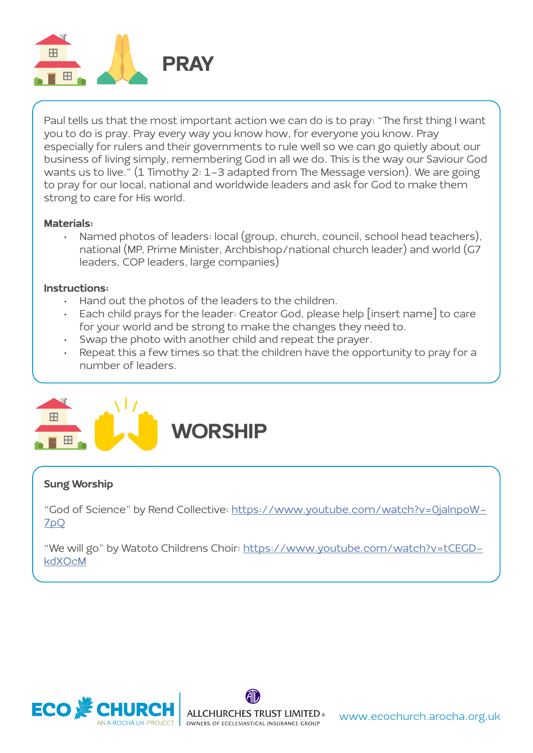

Paul tells us that the most important action we can do is to pray: "The first thing I want you to do is pray. Pray every way you know how, for everyone you know. Pray especially for rulers and their governments to rule well so we can go quietly about our business of living simply, remembering God in all we do. This is the way our Saviour God wants us to live." (1 Timothy 2: 1-3 adapted from The Message version). We are going to pray for our local, national and worldwide leaders and ask for God to make them strong to care for His world.

#### Materials:

• Named photos of leaders: local (group, church, council, school head teachers), national (MP, Prime Minister, Archbishop/national church leader) and world (G7 leaders, COP leaders, large companies)

#### Instructions:

- Hand out the photos of the leaders to the children.
- Each child prays for the leader: Creator God, please help [insert name] to care for your world and be strong to make the changes they need to.
- Swap the photo with another child and repeat the prayer.
- Repeat this a few times so that the children have the opportunity to pray for a number of leaders.



#### Sung Worship

"God of Science" by Rend Collective: [https://www.youtube.com/watch?v=0jalnpoW-](https://www.youtube.com/watch?v=0jalnpoW7pQ)[7pQ](https://www.youtube.com/watch?v=0jalnpoW7pQ)

"We will go" by Watoto Childrens Choir: [https://www.youtube.com/watch?v=tCEGD](https://www.youtube.com/watch?v=tCEGDkdXOcM)[kdXOcM](https://www.youtube.com/watch?v=tCEGDkdXOcM)



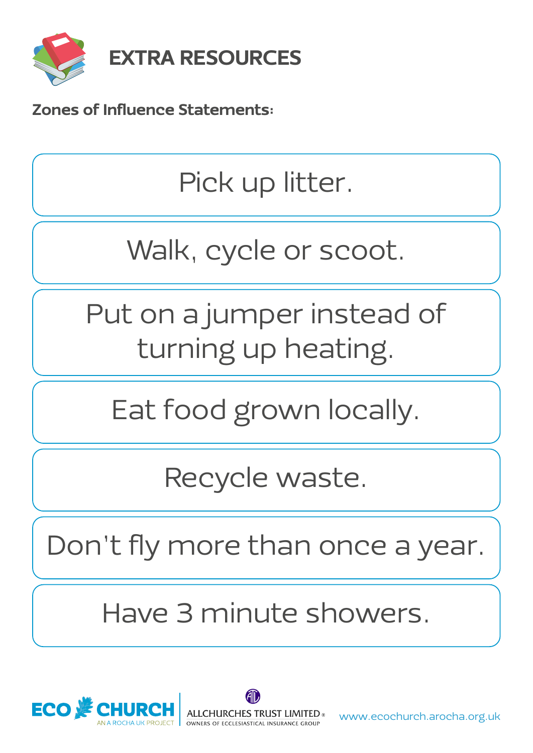

Zones of Influence Statements:

Pick up litter.

# Walk, cycle or scoot.

Put on a jumper instead of turning up heating.

Eat food grown locally.

Recycle waste.

Don't fly more than once a year.

Have 3 minute showers.



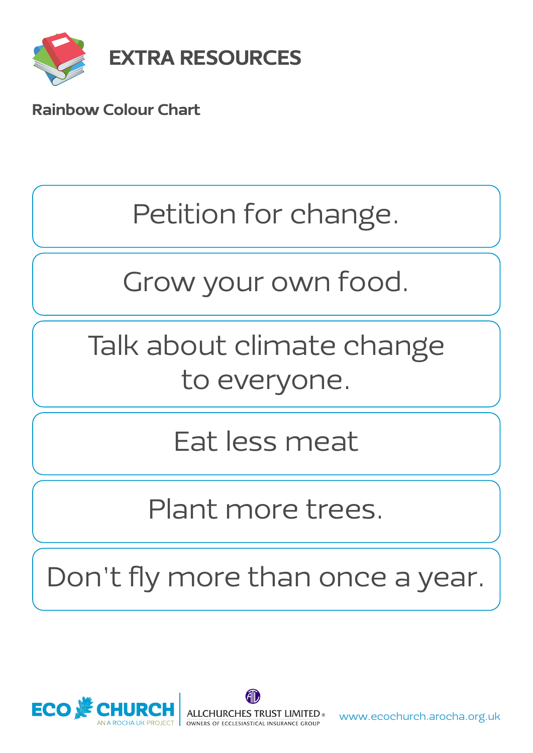

### Rainbow Colour Chart

### Petition for change.

# Grow your own food.

# Talk about climate change to everyone.

## Eat less meat

### Plant more trees.

Don't fly more than once a year.

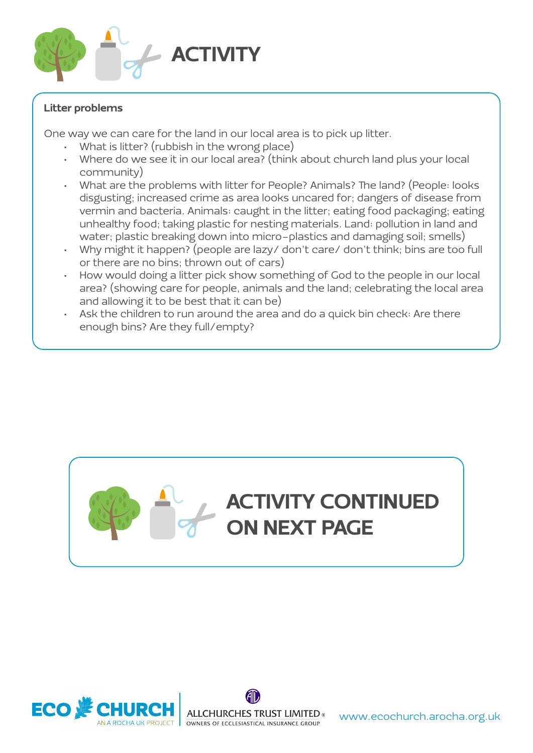

#### Litter problems

One way we can care for the land in our local area is to pick up litter.

- What is litter? (rubbish in the wrong place)
- Where do we see it in our local area? (think about church land plus your local community)
- What are the problems with litter for People? Animals? The land? (People: looks disgusting; increased crime as area looks uncared for; dangers of disease from vermin and bacteria. Animals: caught in the litter; eating food packaging; eating unhealthy food; taking plastic for nesting materials. Land: pollution in land and water; plastic breaking down into micro-plastics and damaging soil; smells)
- Why might it happen? (people are lazy/ don't care/ don't think; bins are too full or there are no bins; thrown out of cars)
- How would doing a litter pick show something of God to the people in our local area? (showing care for people, animals and the land; celebrating the local area and allowing it to be best that it can be)
- Ask the children to run around the area and do a quick bin check: Are there enough bins? Are they full/empty?





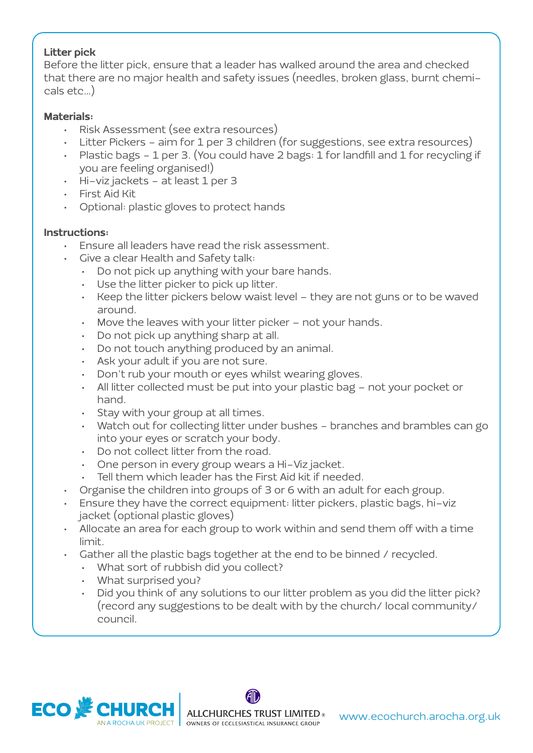#### Litter pick

Before the litter pick, ensure that a leader has walked around the area and checked that there are no major health and safety issues (needles, broken glass, burnt chemicals etc…)

#### Materials:

- Risk Assessment (see extra resources)
- Litter Pickers aim for 1 per 3 children (for suggestions, see extra resources)
- Plastic bags 1 per 3. (You could have 2 bags: 1 for landfill and 1 for recycling if you are feeling organised!)
- Hi-viz jackets at least 1 per 3
- First Aid Kit
- Optional: plastic gloves to protect hands

- Ensure all leaders have read the risk assessment.
- Give a clear Health and Safety talk:
	- Do not pick up anything with your bare hands.
	- Use the litter picker to pick up litter.
	- Keep the litter pickers below waist level they are not guns or to be waved around.
	- Move the leaves with your litter picker not your hands.
	- Do not pick up anything sharp at all.
	- Do not touch anything produced by an animal.
	- Ask your adult if you are not sure.
	- Don't rub your mouth or eyes whilst wearing gloves.
	- All litter collected must be put into your plastic bag not your pocket or hand.
	- Stay with your group at all times.
	- Watch out for collecting litter under bushes branches and brambles can go into your eyes or scratch your body.
	- Do not collect litter from the road.
	- One person in every group wears a Hi-Viz jacket.
	- Tell them which leader has the First Aid kit if needed.
- Organise the children into groups of 3 or 6 with an adult for each group.
- Ensure they have the correct equipment: litter pickers, plastic bags, hi-viz jacket (optional plastic gloves)
- Allocate an area for each group to work within and send them off with a time limit.
- Gather all the plastic bags together at the end to be binned / recycled.
	- What sort of rubbish did you collect?
	- What surprised you?
	- Did you think of any solutions to our litter problem as you did the litter pick? (record any suggestions to be dealt with by the church/ local community/ council.